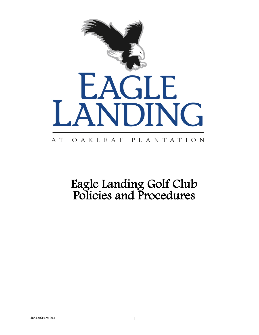

# Eagle Landing Golf Club Policies and Procedures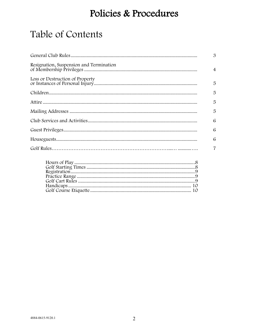### Policies & Procedures

### Table of Contents

|                                         | $\mathfrak{B}$ |
|-----------------------------------------|----------------|
| Resignation, Suspension and Termination | $\overline{4}$ |
|                                         | 5              |
|                                         | 5              |
|                                         | 5              |
|                                         | 5              |
|                                         | 6              |
|                                         | 6              |
|                                         | 6              |
|                                         | $\overline{7}$ |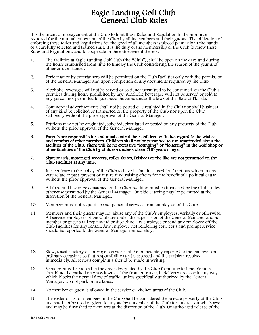## Eagle Landing Golf Club General Club Rules

It is the intent of management of the Club to limit these Rules and Regulation to the minimum required for the mutual enjoyment of the Club by all its members and their guests. The obligation of enforcing these Rules and Regulations for the good of all members is placed primarily in the hands of a carefully selected and trained staff. It is the duty of the membership of the Club to know these Rules and Regulations, and to cooperate in the enforcement thereof.

- 1. The facilities at Eagle Landing Golf Club (the "Club"), shall be open on the days and during the hours established from time to time by the Club considering the season of the year and other circumstances.
- 2. Performance by entertainers will be permitted on the Club Facilities only with the permission of the General Manager and upon completion of any documents required by the Club.
- 3. Alcoholic beverages will not be served or sold, nor permitted to be consumed, on the Club's premises during hours prohibited by law. Alcoholic beverages will not be served or sold to any person not permitted to purchase the same under the laws of the State of Florida.
- 4. Commercial advertisements shall not be posted or circulated in the Club nor shall business of any kind be solicited or transacted on the property of the Club nor upon the Club stationery without the prior approval of the General Manager.
- 5. Petitions may not be originated, solicited, circulated or posted on any property of the Club without the prior approval of the General Manager.
- 6. Parents are responsible for and must control their children with due regard to the wishes and comfort of other members. Children shall not be permitted to run unattended about the facilities of the Club. There will be no excessive "lounging" or "loitering" in the Golf Shop or<br>other facilities of the Club by children under sixteen (16) years of age.
- 7. Skateboards, motorized scooters, roller skates, Frisbees or the like are not permitted on the Club Facilities at any time.
- 8. It is contrary to the policy of the Club to have its facilities used for functions which in any way relate to past, present or future fund raising efforts for the benefit of a political cause without the prior approval of the General Manager.
- 9. All food and beverage consumed on the Club Facilities must be furnished by the Club, unless otherwise permitted by the General Manager. Outside catering may be permitted at the discretion of the General Manager.
- 10. Members must not request special personal services from employees of the Club.
- 11. Members and their guests may not abuse any of the Club's employees, verbally or otherwise. All service employees of the Club are under the supervision of the General Manager and no member or guest shall reprimand or discipline any employee or send any employee off the Club Facilities for any reason. Any employee not rendering courteous and prompt service should be reported to the General Manager immediately.
- 12. Slow, unsatisfactory or improper service shall be immediately reported to the manager on ordinary occasions so that responsibility can be assessed and the problem resolved immediately. All serious complaints should be made in writing.
- 13. Vehicles must be parked in the areas designated by the Club from time to time. Vehicles should not be parked on grass lawns, at the front entrance, in delivery areas or in any way which blocks the normal flow of traffic, unless specifically authorized by the General Manager. Do not park in fire lanes.
- 14. No member or guest is allowed in the service or kitchen areas of the Club.
- 15. The roster or list of members in the Club shall be considered the private property of the Club and shall not be used or given to anyone by a member of the Club for any reason whatsoever and may be furnished to members at the discretion of the Club. Unauthorized release of the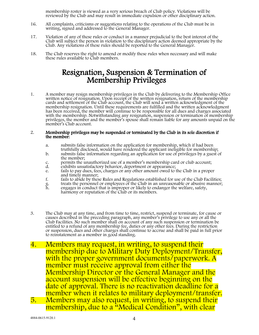membership roster is viewed as a very serious breach of Club policy. Violations will be reviewed by the Club and may result in immediate expulsion or other disciplinary action.

- 16. All complaints, criticisms or suggestions relating to the operations of the Club must be in writing, signed and addressed to the General Manager.
- 17. Violation of any of these rules or conduct in a manner prejudicial to the best interest of the Club will subject the person in violation to the disciplinary action deemed appropriate by the Club. Any violations of these rules should be reported to the General Manager.
- 18. The Club reserves the right to amend or modify these rules when necessary and will make these rules available to Club members.

### Resignation, Suspension & Termination of Membership Privileges

1. A member may resign membership privileges in the Club by delivering to the Membership Office written notice of resignation. Upon receipt of the written resignation, return of the membership cards and settlement of the Club account, the Club will send a written acknowledgment of the membership resignation. Until these requirements are fulfilled and the written acknowledgment has been received, the member will continue to be responsible for all dues and charges associated with the membership. Notwithstanding any resignation, suspension or termination of membership privileges, the member and the member's spouse shall remain liable for any amounts unpaid on the member's Club account.

#### 2. Membership privileges may be suspended or terminated by the Club in its sole discretion if the member:

- a. submits false information on the application for membership, which if had been truthfully disclosed, would have rendered the applicant ineligible for membership;
- b. submits false information regarding an application for use of privileges by a guest of the member;
- c. permits the unauthorized use of a member's membership card or club account;<br>d. exhibits unsatisfactory behavior, deportment or appearance;
- d. exhibits unsatisfactory behavior, deportment or appearance;<br>e. fails to pay dues, fees, charges or any other amount owed to t
- e. fails to pay dues, fees, charges or any other amount owed to the Club in a proper<br>and timely manner;<br>f. fails to abide by these Rules and Regulations established for use of the Club Facilit
- f. fails to abide by these Rules and Regulations established for use of the Club Facilities;
- g. treats the personnel or employees of the Club in an unreasonable or abusive manner; g. treats the personnel or employees of the Club in an unreasonable or abusive r<br>h. engages in conduct that is improper or likely to endanger the welfare, safety,
- harmony or reputation of the Club or its members.
- 3. The Club may at any time, and from time to time, restrict, suspend or terminate, for cause or causes described in the preceding paragraph, any member's privilege to use any or all the Club Facilities. No such member shall on account of any such suspension or termination be entitled to a refund of any membership fee, duties or any other fees. During the restriction or suspension, dues and other charges shall continue to accrue and shall be paid in full prior to reinstatement as a member in good standing.
- 4. Members may request, in writing, to suspend their membership due to Military Duty Deployment/Transfer, with the proper government documents/paperwork. A member must receive approval from either the Membership Director or the General Manager and the account suspension will be effective beginning on the date of approval. There is no reactivation deadline for a<br>member when it relates to military deployment/transfer.
- 5. Members may also request, in writing, to suspend their membership, due to a "Medical Condition" , with clear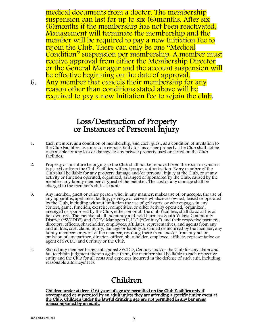medical documents from a doctor. The membership suspension can last for up to six (6) months. After six (6)months if the membership has not been reactivated, Management will terminate the membership and the member will be required to pay a new Initiation Fee to rejoin the Club. There can only be one "Medical Condition" suspension per membership. A member must receive approval from either the Membership Director or the General Manager and the account suspension will be effective beginning on the date of approval.

6. Any member that cancels their membership for any reason other than conditions stated above will be required to pay a new Initiation Fee to rejoin the club.

### Loss/Destruction of Property or Instances of Personal Injury

- 1. Each member, as a condition of membership, and each guest, as a condition of invitation to the Club Facilities, assumes sole responsibility for his or her property. The Club shall not be responsible for any loss or damage to any private property used or stored on the Club Facilities.
- 2. Property or furniture belonging to the Club shall not be removed from the room in which it is placed or from the Club Facilities, without proper authorization. Every member of the Club shall be liable for any property damage and/or personal injury at the Club, or at any<br>activity or function operated, organized, arranged or sponsored by the Club, caused by the member, any family member or guest of the member. The cost of any damage shall be charged to the member's club account.
- 3. Any member, guest or other person who, in any manner, makes use of, or accepts, the use of, any apparatus, appliance, facility, privilege or service whatsoever owned, leased or operated by the Club, including without limitation the use of golf carts, or who engages in any contest, game, function, exercise, competition or other activity operated, organized, arranged or sponsored by the Club, either on or off the club Facilities, shall do so at his or her own risk. The member shall indemnify and hold harmless South Village Community District ("SVCDD") and CGPM Managers II, LLC ("Century") and their respective partners, directors, officers, shareholder, employees, affiliates, representatives, and agents from any and all loss, cost, claim, injury, damage or liability sustained or incurred by the member, any family members or guest of the member, resulting there from and/or from any act or omission of any partner, director, officer, shareholder, employee, affiliate, representative or agent of SVCDD and Century or the Club.
- 4. Should any member bring suit against SVCDD, Century and/or the Club for any claim and fail to obtain judgment therein against them, the member shall be liable to each respective entity and the Club for all costs and expenses incurred in the defense of such suit, including reasonable attorneys' fees.

#### Children

Children under sixteen (16) years of age are permitted on the Club Facilities only if<br>accompanied or supervised by an adult unless they are attending a specific junior event at the Club. Children under the lawful drinking age are not permitted in any bar areas unaccompanied by an adult.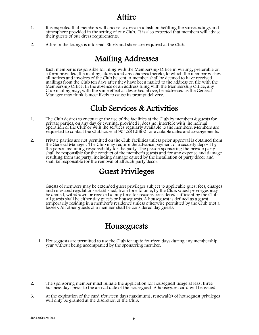- 1. It is expected that members will choose to dress in a fashion befitting the surroundings and atmosphere provided in the setting of our Club. It is also expected that members will advise their guests of our dress requirements.
- 2. Attire in the lounge is informal. Shirts and shoes are required at the Club.

#### Mailing Addresses

Each member is responsible for filing with the Membership Office in writing, preferable on a form provided, the mailing address and any changes thereto, to which the member wishes all notices and invoices of the Club be sent. A member shall be deemed to have received mailings from the Club ten days after they have been mailed to the address on file with the Membership Office. In the absence of an address filing with the Membership Office, any Club mailing may, with the same effect as described above, be addressed as the General Manager may think is most likely to cause its prompt delivery.

#### Club Services & Activities

- 1. The Club desires to encourage the use of the facilities at the Club by members & guests for private parties, on any day or evening, provided it does not interfere with the normal operation of the Club or with the services regularly available to the members. Members are requested to contact the Clubhouse at 904.291.5600 for available dates and arrangements.
- 2. Private parties are not permitted on the Club Facilities unless prior approval is obtained from the General Manager. The Club may require the advance payment of a security deposit by the person assuming responsibility for the party. The person sponsoring the private party shall be responsible for the conduct of the member's guests and for any expense and damage resulting from the party, including damage caused by the installation of party décor and shall be responsible for the removal of all such party décor.

#### Guest Privileges

Guests of members may be extended guest privileges subject to applicable guest fees, charges and rules and regulations established, from time to time, by the Club. Guest privileges may be denied, withdrawn or revoked at any time for reasons considered sufficient by the Club. All guests shall be either day guests or houseguests. A houseguest is defined as a guest temporarily residing in a member's residence unless otherwise permitted by the Club (not a lessee). All other guests of a member shall be considered day guests.

#### Houseguests

- 1. Houseguests are permitted to use the Club for up to fourteen days during any membership year without being accompanied by the sponsoring member.
- 2. The sponsoring member must initiate the application for houseguest usage at least three business days prior to the arrival date of the houseguest. A houseguest card will be issued.
- 3. At the expiration of the card (fourteen days maximum), renewal(s) of houseguest privileges will only be granted at the discretion of the Club.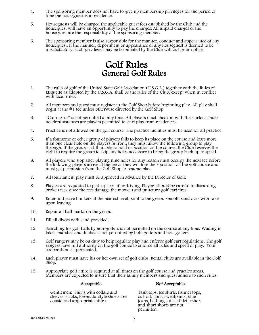- 4. The sponsoring member does not have to give up membership privileges for the period of time the houseguest is in residence.
- 5. Houseguests will be charged the applicable guest fees established by the Club and the houseguest will have an opportunity to pay the charges. All unpaid charges of the houseguest are the responsibility of the sponsoring member.
- 6. The sponsoring member is also responsible for the manner, conduct and appearance of any houseguest. If the manner, deportment or appearance of any houseguest is deemed to be unsatisfactory, such privileges may be terminated by the Club without prior notice.

## Golf Rules General Golf Rules

- 1. The rules of golf of the United State Golf Association (U.S.G.A.) together with the Rules of Etiquette as adopted by the U.S.G.A. shall be the rules of the Club, except when in conflict with local rules.
- 2. All members and guest must register in the Golf Shop before beginning play. All play shall begin at the #1 tee unless otherwise directed by the Golf Shop.
- 3. "Cutting-in" is not permitted at any time. All players must check in with the starter. Under no circumstances are players permitted to start play from residences.
- 4. Practice is not allowed on the golf course. The practice facilities must be used for all practice.
- 5. If a foursome or other group of players fails to keep its place on the course and loses more than one clear hole on the players in front, they must allow the following group to play through. If the group is still unable to hold its position on the course, the Club reserves the right to require the group to skip any holes necessary to bring the group back up to speed.
- 6. All players who stop after playing nine holes for any reason must occupy the next tee before the following players arrive at the tee or they will lose their position on the golf course and must get permission from the Golf Shop to resume play.
- 7. All tournament play must be approved in advance by the Director of Golf.
- 8. Players are requested to pick up tees after driving. Players should be careful in discarding broken tees since the tees damage the mowers and puncture golf cart tires.
- 9. Enter and leave bunkers at the nearest level point to the green. Smooth sand over with rake upon leaving.
- 10. Repair all ball marks on the green.
- 11. Fill all divots with sand provided.
- 12. Searching for golf balls by non-golfers is not permitted on the course at any time. Wading in lakes, marshes and ditches is not permitted by both golfers and non-golfers.
- 13. Golf rangers may be on duty to help regulate play and enforce golf cart regulations. The golf rangers have full authority on the golf course to enforce all rules and speed of play. Your cooperation is appreciated.
- 14. Each player must have his or her own set of golf clubs. Rental clubs are available in the Golf Shop.
- 15. Appropriate golf attire is required at all times on the golf course and practice areas. Members are expected to insure that their family members and guest adhere to such rules.

#### Acceptable Not Acceptable

Gentlemen: Shirts with collars and sleeves, slacks, Bermuda-style shorts are considered appropriate attire.

Tank tops, tee shirts, fishnet tops, jeans, bathing suits, athletic short and short shorts are not permitted.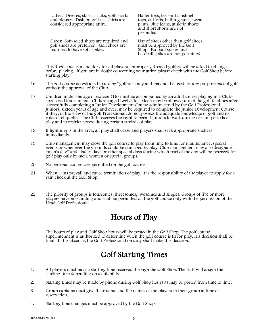| Ladies: Dresses, skirts, slacks, golf shorts |
|----------------------------------------------|
| and blouses. Fashion golf tee-shirts are     |
| considered appropriate attire.               |

Halter tops, tee shirts, fishnet tops, cut-offs, bathing suits, sweat pants, blue jeans, athletic shorts and short shorts are not permitted.

Shoes: Soft-soled shoes are required and golf shoes are preferred. Golf shoes are required to have soft-spikes.

Use of shoes other than golf shoes must be approved by the Golf Shop. Football spikes and baseball spikes are not permitted.

This dress code is mandatory for all players. Improperly dressed golfers will be asked to change before playing. If you are in doubt concerning your attire, please check with the Golf Shop before starting play.

- 16. The golf course is restricted to use by "golfers" only and may not be used for any purpose except golf without the approval of the Club.
- 17. Children under the age of sixteen (16) must be accompanied by an adult unless playing in a Club- sponsored tournament. Children aged twelve to sixteen may be allowed use of the golf facilities after successfully completing a Junior Development Course administered by the Golf Professional. Juniors, sixteen years of age and over, may be required to complete the Junior Development Course if they, in the view of the golf Professional, do not possess the adequate knowledge of golf and its rules of etiquette. The Club reserves the right to permit Juniors to walk during certain periods of play and to restrict access during certain periods of play.
- 18. If lightning is in the area, all play shall cease and players shall seek appropriate shelters immediately.
- 19. Club management may close the golf course to play from time to time for maintenance, special events or whenever the grounds could be damaged by play. Club management may also designate "men's day" and "ladies day" or other special days during which part of the day will be reserved for golf play only by men, women or special groups.
- 20. No personal coolers are permitted on the golf course.
- 21. When rains prevail and cause termination of play, it is the responsibility of the player to apply for a rain check at the Golf Shop.
- 22. The priority of groups is foursomes, threesomes, twosomes and singles. Groups of five or more players have no standing and shall be permitted on the golf course only with the permission of the Head Golf Professional.

#### Hours of Play

The hours of play and Golf Shop hours will be posted in the Golf Shop. The golf course superintendent is authorized to determine when the golf course is fit for play. His decision shall be final. In his absence, the Golf Professional on duty shall make this decision.

#### Golf Starting Times

- 1. All players must have a starting time reserved through the Golf Shop. The staff will assign the starting time depending on availability.
- 2. Starting times may be made by phone during Golf Shop hours as may be posted from time to time.
- 3. Group captains must give their name and the names of the players in their group at time of reservation.
- 4. Starting time changes must be approved by the Golf Shop.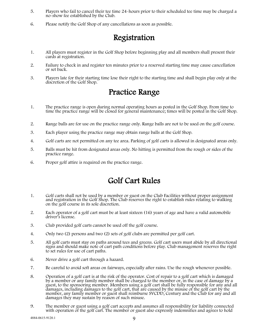- 5. Players who fail to cancel their tee time 24-hours prior to their scheduled tee time may be charged a no-show fee established by the Club.
- 6. Please notify the Golf Shop of any cancellations as soon as possible.

#### Registration

- 1. All players must register in the Golf Shop before beginning play and all members shall present their cards at registration.
- 2. Failure to check in and register ten minutes prior to a reserved starting time may cause cancellation or set back.
- 3. Players late for their starting time lose their right to the starting time and shall begin play only at the discretion of the Golf Shop.

#### Practice Range

- 1. The practice range is open during normal operating hours as posted in the Golf Shop. From time to time the practice range will be closed for general maintenance; times will be posted in the Golf Shop.
- 2. Range balls are for use on the practice range only. Range balls are not to be used on the golf course.
- 3. Each player using the practice range may obtain range balls at the Golf Shop.
- 4. Golf carts are not permitted on any tee area. Parking of golf carts is allowed in designated areas only.
- 5. Balls must be hit from designated areas only. No hitting is permitted from the rough or sides of the practice range.
- 6. Proper golf attire is required on the practice range.

#### Golf Cart Rules

- 1. Golf carts shall not be used by a member or guest on the Club Facilities without proper assignment and registration in the Golf Shop. The Club reserves the right to establish rules relating to walking on the golf course in its sole discretion.
- 2. Each operator of a golf cart must be at least sixteen (16) years of age and have a valid automobile driver's license.
- 3. Club provided golf carts cannot be used off the golf course.
- 4. Only two (2) persons and two (2) sets of golf clubs are permitted per golf cart.
- 5. All golf carts must stay on paths around tees and greens. Golf cart users must abide by all directional signs and should make note of cart path conditions before play. Club management reserves the right to set rules for use of cart paths.
- 6. Never drive a golf cart through a hazard.
- 7. Be careful to avoid soft areas on fairways, especially after rains. Use the rough whenever possible.
- 8. Operation of a golf cart is at the risk of the operator. Cost of repair to a golf cart which is damaged by a member or any family member shall be charged to the member or, in the case of damage by a guest, to the sponsoring member. Members using a golf cart shall be fully responsible for any and all damages, including damages to the golf cart, that are caused by the misuse of the golf cart by the member, any family member or guest shall reimburse SVCDD, Century and the Club for any and all damages they may sustain by reason of such misuse.
- 9. The member or guest using a golf cart accepts and assumes all responsibility for liability connected with operation of the golf cart. The member or guest also expressly indemnifies and agrees to hold